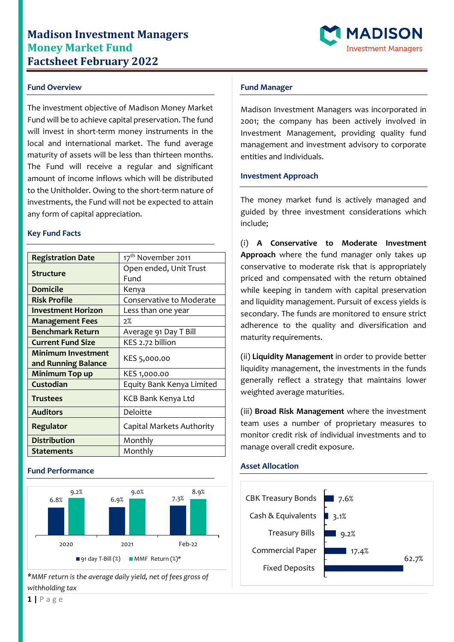# **Madison Investment Managers Money Market Fund Factsheet February 2022**



### **Fund Overview**

The investment objective of Madison Money Market Fund will be to achieve capital preservation. The fund will invest in short-term money instruments in the local and international market. The fund average maturity of assets will be less than thirteen months. The Fund will receive a regular and significant amount of income inflows which will be distributed to the Unitholder. Owing to the short-term nature of investments, the Fund will not be expected to attain any form of capital appreciation.

#### **Key Fund Facts**

| <b>Registration Date</b>  | 17 <sup>th</sup> November 2011 |
|---------------------------|--------------------------------|
| <b>Structure</b>          | Open ended, Unit Trust         |
|                           | Fund                           |
| <b>Domicile</b>           | Kenya                          |
| <b>Risk Profile</b>       | Conservative to Moderate       |
| <b>Investment Horizon</b> | Less than one year             |
| <b>Management Fees</b>    | 2%                             |
| <b>Benchmark Return</b>   | Average 91 Day T Bill          |
| <b>Current Fund Size</b>  | KES 2.72 billion               |
| <b>Minimum Investment</b> | KES 5,000.00                   |
| and Running Balance       |                                |
| Minimum Top up            | KES 1,000.00                   |
| Custodian                 | Equity Bank Kenya Limited      |
| <b>Trustees</b>           | KCB Bank Kenya Ltd             |
| <b>Auditors</b>           | Deloitte                       |
| Regulator                 | Capital Markets Authority      |
| <b>Distribution</b>       | Monthly                        |
| <b>Statements</b>         | Monthly                        |

#### **Fund Performance**



*\*MMF return is the average daily yield, net of fees gross of withholding tax*

### **Fund Manager**

Madison Investment Managers was incorporated in 2001; the company has been actively involved in Investment Management, providing quality fund management and investment advisory to corporate entities and Individuals.

### **Investment Approach**

The money market fund is actively managed and guided by three investment considerations which include;

(i) **A Conservative to Moderate Investment Approach** where the fund manager only takes up conservative to moderate risk that is appropriately priced and compensated with the return obtained while keeping in tandem with capital preservation and liquidity management. Pursuit of excess yields is secondary. The funds are monitored to ensure strict adherence to the quality and diversification and maturity requirements.

(ii) **Liquidity Management** in order to provide better liquidity management, the investments in the funds generally reflect a strategy that maintains lower weighted average maturities.

(iii) **Broad Risk Management** where the investment team uses a number of proprietary measures to monitor credit risk of individual investments and to manage overall credit exposure.

## **Asset Allocation**